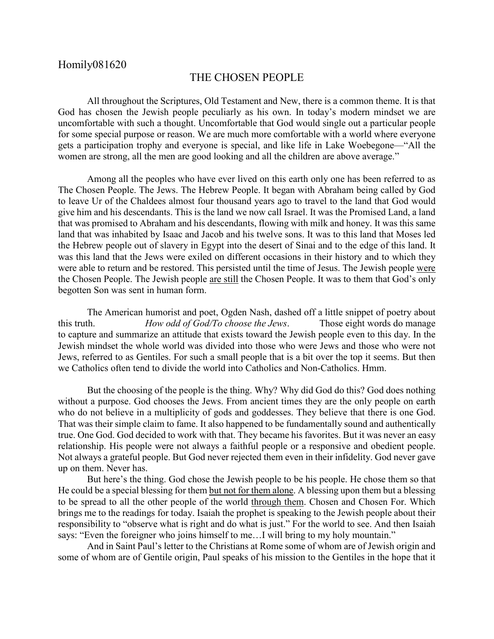## THE CHOSEN PEOPLE

All throughout the Scriptures, Old Testament and New, there is a common theme. It is that God has chosen the Jewish people peculiarly as his own. In today's modern mindset we are uncomfortable with such a thought. Uncomfortable that God would single out a particular people for some special purpose or reason. We are much more comfortable with a world where everyone gets a participation trophy and everyone is special, and like life in Lake Woebegone—"All the women are strong, all the men are good looking and all the children are above average."

Among all the peoples who have ever lived on this earth only one has been referred to as The Chosen People. The Jews. The Hebrew People. It began with Abraham being called by God to leave Ur of the Chaldees almost four thousand years ago to travel to the land that God would give him and his descendants. This is the land we now call Israel. It was the Promised Land, a land that was promised to Abraham and his descendants, flowing with milk and honey. It was this same land that was inhabited by Isaac and Jacob and his twelve sons. It was to this land that Moses led the Hebrew people out of slavery in Egypt into the desert of Sinai and to the edge of this land. It was this land that the Jews were exiled on different occasions in their history and to which they were able to return and be restored. This persisted until the time of Jesus. The Jewish people were the Chosen People. The Jewish people are still the Chosen People. It was to them that God's only begotten Son was sent in human form.

The American humorist and poet, Ogden Nash, dashed off a little snippet of poetry about this truth. *How odd of God/To choose the Jews*. Those eight words do manage to capture and summarize an attitude that exists toward the Jewish people even to this day. In the Jewish mindset the whole world was divided into those who were Jews and those who were not Jews, referred to as Gentiles. For such a small people that is a bit over the top it seems. But then we Catholics often tend to divide the world into Catholics and Non-Catholics. Hmm.

But the choosing of the people is the thing. Why? Why did God do this? God does nothing without a purpose. God chooses the Jews. From ancient times they are the only people on earth who do not believe in a multiplicity of gods and goddesses. They believe that there is one God. That was their simple claim to fame. It also happened to be fundamentally sound and authentically true. One God. God decided to work with that. They became his favorites. But it was never an easy relationship. His people were not always a faithful people or a responsive and obedient people. Not always a grateful people. But God never rejected them even in their infidelity. God never gave up on them. Never has.

But here's the thing. God chose the Jewish people to be his people. He chose them so that He could be a special blessing for them <u>but not for them alone</u>. A blessing upon them but a blessing to be spread to all the other people of the world through them. Chosen and Chosen For. Which brings me to the readings for today. Isaiah the prophet is speaking to the Jewish people about their responsibility to "observe what is right and do what is just." For the world to see. And then Isaiah says: "Even the foreigner who joins himself to me... I will bring to my holy mountain."

And in Saint Paul's letter to the Christians at Rome some of whom are of Jewish origin and some of whom are of Gentile origin, Paul speaks of his mission to the Gentiles in the hope that it